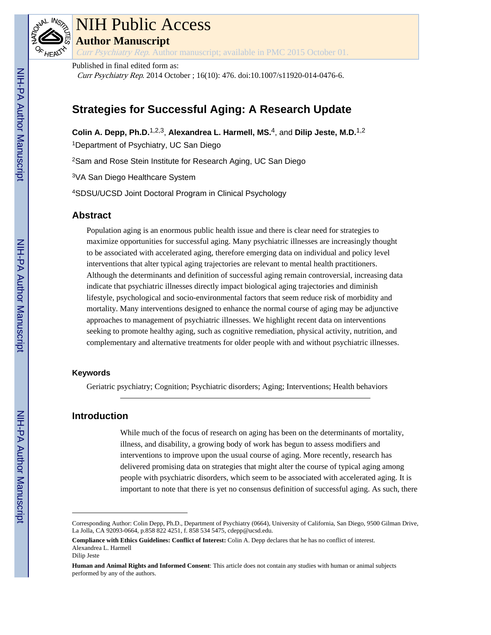

# NIH Public Access

**Author Manuscript**

Curr Psychiatry Rep. Author manuscript; available in PMC 2015 October 01.

Published in final edited form as:

Curr Psychiatry Rep. 2014 October ; 16(10): 476. doi:10.1007/s11920-014-0476-6.

# **Strategies for Successful Aging: A Research Update**

**Colin A. Depp, Ph.D.**1,2,3, **Alexandrea L. Harmell, MS.**4, and **Dilip Jeste, M.D.**1,2

<sup>1</sup>Department of Psychiatry, UC San Diego

<sup>2</sup>Sam and Rose Stein Institute for Research Aging, UC San Diego

<sup>3</sup>VA San Diego Healthcare System

<sup>4</sup>SDSU/UCSD Joint Doctoral Program in Clinical Psychology

# **Abstract**

Population aging is an enormous public health issue and there is clear need for strategies to maximize opportunities for successful aging. Many psychiatric illnesses are increasingly thought to be associated with accelerated aging, therefore emerging data on individual and policy level interventions that alter typical aging trajectories are relevant to mental health practitioners. Although the determinants and definition of successful aging remain controversial, increasing data indicate that psychiatric illnesses directly impact biological aging trajectories and diminish lifestyle, psychological and socio-environmental factors that seem reduce risk of morbidity and mortality. Many interventions designed to enhance the normal course of aging may be adjunctive approaches to management of psychiatric illnesses. We highlight recent data on interventions seeking to promote healthy aging, such as cognitive remediation, physical activity, nutrition, and complementary and alternative treatments for older people with and without psychiatric illnesses.

## **Keywords**

Geriatric psychiatry; Cognition; Psychiatric disorders; Aging; Interventions; Health behaviors

# **Introduction**

While much of the focus of research on aging has been on the determinants of mortality, illness, and disability, a growing body of work has begun to assess modifiers and interventions to improve upon the usual course of aging. More recently, research has delivered promising data on strategies that might alter the course of typical aging among people with psychiatric disorders, which seem to be associated with accelerated aging. It is important to note that there is yet no consensus definition of successful aging. As such, there

Corresponding Author: Colin Depp, Ph.D., Department of Psychiatry (0664), University of California, San Diego, 9500 Gilman Drive, La Jolla, CA 92093-0664, p.858 822 4251, f. 858 534 5475, cdepp@ucsd.edu.

**Compliance with Ethics Guidelines: Conflict of Interest:** Colin A. Depp declares that he has no conflict of interest. Alexandrea L. Harmell Dilip Jeste

**Human and Animal Rights and Informed Consent**: This article does not contain any studies with human or animal subjects performed by any of the authors.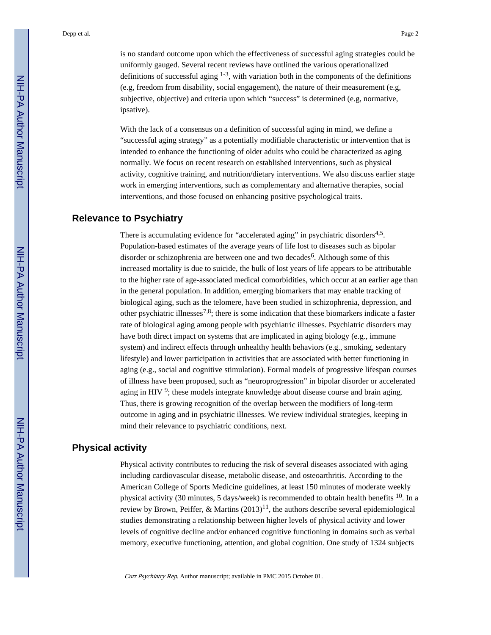is no standard outcome upon which the effectiveness of successful aging strategies could be uniformly gauged. Several recent reviews have outlined the various operationalized definitions of successful aging  $1-3$ , with variation both in the components of the definitions (e.g, freedom from disability, social engagement), the nature of their measurement (e.g, subjective, objective) and criteria upon which "success" is determined (e.g, normative, ipsative).

With the lack of a consensus on a definition of successful aging in mind, we define a "successful aging strategy" as a potentially modifiable characteristic or intervention that is intended to enhance the functioning of older adults who could be characterized as aging normally. We focus on recent research on established interventions, such as physical activity, cognitive training, and nutrition/dietary interventions. We also discuss earlier stage work in emerging interventions, such as complementary and alternative therapies, social interventions, and those focused on enhancing positive psychological traits.

### **Relevance to Psychiatry**

There is accumulating evidence for "accelerated aging" in psychiatric disorders<sup>4,5</sup>. Population-based estimates of the average years of life lost to diseases such as bipolar disorder or schizophrenia are between one and two decades<sup>6</sup>. Although some of this increased mortality is due to suicide, the bulk of lost years of life appears to be attributable to the higher rate of age-associated medical comorbidities, which occur at an earlier age than in the general population. In addition, emerging biomarkers that may enable tracking of biological aging, such as the telomere, have been studied in schizophrenia, depression, and other psychiatric illnesses<sup>7,8</sup>; there is some indication that these biomarkers indicate a faster rate of biological aging among people with psychiatric illnesses. Psychiatric disorders may have both direct impact on systems that are implicated in aging biology (e.g., immune system) and indirect effects through unhealthy health behaviors (e.g., smoking, sedentary lifestyle) and lower participation in activities that are associated with better functioning in aging (e.g., social and cognitive stimulation). Formal models of progressive lifespan courses of illness have been proposed, such as "neuroprogression" in bipolar disorder or accelerated aging in HIV  $9$ ; these models integrate knowledge about disease course and brain aging. Thus, there is growing recognition of the overlap between the modifiers of long-term outcome in aging and in psychiatric illnesses. We review individual strategies, keeping in mind their relevance to psychiatric conditions, next.

### **Physical activity**

Physical activity contributes to reducing the risk of several diseases associated with aging including cardiovascular disease, metabolic disease, and osteoarthritis. According to the American College of Sports Medicine guidelines, at least 150 minutes of moderate weekly physical activity (30 minutes, 5 days/week) is recommended to obtain health benefits  $^{10}$ . In a review by Brown, Peiffer, & Martins  $(2013)^{11}$ , the authors describe several epidemiological studies demonstrating a relationship between higher levels of physical activity and lower levels of cognitive decline and/or enhanced cognitive functioning in domains such as verbal memory, executive functioning, attention, and global cognition. One study of 1324 subjects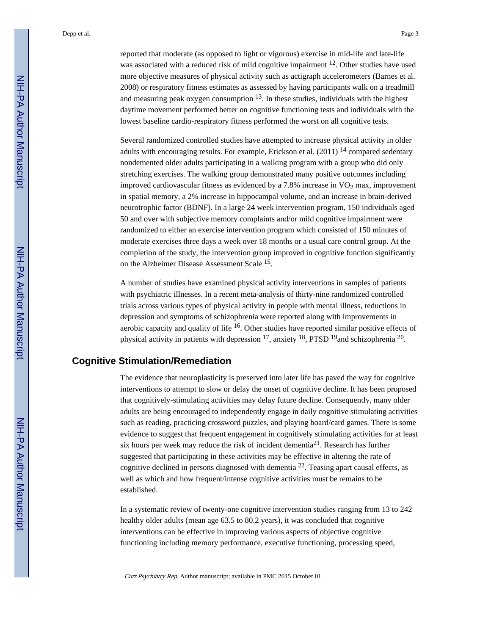reported that moderate (as opposed to light or vigorous) exercise in mid-life and late-life was associated with a reduced risk of mild cognitive impairment <sup>12</sup>. Other studies have used more objective measures of physical activity such as actigraph accelerometers (Barnes et al. 2008) or respiratory fitness estimates as assessed by having participants walk on a treadmill and measuring peak oxygen consumption  $13$ . In these studies, individuals with the highest daytime movement performed better on cognitive functioning tests and individuals with the lowest baseline cardio-respiratory fitness performed the worst on all cognitive tests.

Several randomized controlled studies have attempted to increase physical activity in older adults with encouraging results. For example, Erickson et al.  $(2011)$  <sup>14</sup> compared sedentary nondemented older adults participating in a walking program with a group who did only stretching exercises. The walking group demonstrated many positive outcomes including improved cardiovascular fitness as evidenced by a  $7.8\%$  increase in  $VO<sub>2</sub>$  max, improvement in spatial memory, a 2% increase in hippocampal volume, and an increase in brain-derived neurotrophic factor (BDNF). In a large 24 week intervention program, 150 individuals aged 50 and over with subjective memory complaints and/or mild cognitive impairment were randomized to either an exercise intervention program which consisted of 150 minutes of moderate exercises three days a week over 18 months or a usual care control group. At the completion of the study, the intervention group improved in cognitive function significantly on the Alzheimer Disease Assessment Scale <sup>15</sup>.

A number of studies have examined physical activity interventions in samples of patients with psychiatric illnesses. In a recent meta-analysis of thirty-nine randomized controlled trials across various types of physical activity in people with mental illness, reductions in depression and symptoms of schizophrenia were reported along with improvements in aerobic capacity and quality of life  $16$ . Other studies have reported similar positive effects of physical activity in patients with depression <sup>17</sup>, anxiety <sup>18</sup>, PTSD <sup>19</sup>and schizophrenia <sup>20</sup>.

# **Cognitive Stimulation/Remediation**

The evidence that neuroplasticity is preserved into later life has paved the way for cognitive interventions to attempt to slow or delay the onset of cognitive decline. It has been proposed that cognitively-stimulating activities may delay future decline. Consequently, many older adults are being encouraged to independently engage in daily cognitive stimulating activities such as reading, practicing crossword puzzles, and playing board/card games. There is some evidence to suggest that frequent engagement in cognitively stimulating activities for at least six hours per week may reduce the risk of incident dementia<sup>21</sup>. Research has further suggested that participating in these activities may be effective in altering the rate of cognitive declined in persons diagnosed with dementia  $^{22}$ . Teasing apart causal effects, as well as which and how frequent/intense cognitive activities must be remains to be established.

In a systematic review of twenty-one cognitive intervention studies ranging from 13 to 242 healthy older adults (mean age 63.5 to 80.2 years), it was concluded that cognitive interventions can be effective in improving various aspects of objective cognitive functioning including memory performance, executive functioning, processing speed,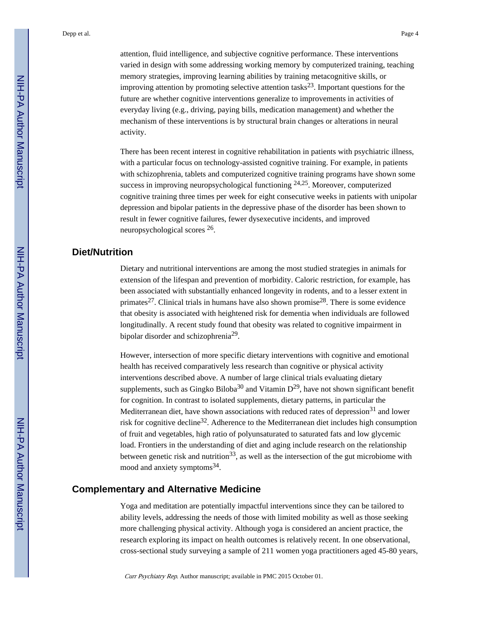attention, fluid intelligence, and subjective cognitive performance. These interventions varied in design with some addressing working memory by computerized training, teaching memory strategies, improving learning abilities by training metacognitive skills, or improving attention by promoting selective attention tasks<sup>23</sup>. Important questions for the future are whether cognitive interventions generalize to improvements in activities of everyday living (e.g., driving, paying bills, medication management) and whether the mechanism of these interventions is by structural brain changes or alterations in neural activity.

There has been recent interest in cognitive rehabilitation in patients with psychiatric illness, with a particular focus on technology-assisted cognitive training. For example, in patients with schizophrenia, tablets and computerized cognitive training programs have shown some success in improving neuropsychological functioning  $24,25$ . Moreover, computerized cognitive training three times per week for eight consecutive weeks in patients with unipolar depression and bipolar patients in the depressive phase of the disorder has been shown to result in fewer cognitive failures, fewer dysexecutive incidents, and improved neuropsychological scores <sup>26</sup>.

# **Diet/Nutrition**

Dietary and nutritional interventions are among the most studied strategies in animals for extension of the lifespan and prevention of morbidity. Caloric restriction, for example, has been associated with substantially enhanced longevity in rodents, and to a lesser extent in primates<sup>27</sup>. Clinical trials in humans have also shown promise<sup>28</sup>. There is some evidence that obesity is associated with heightened risk for dementia when individuals are followed longitudinally. A recent study found that obesity was related to cognitive impairment in bipolar disorder and schizophrenia<sup>29</sup>.

However, intersection of more specific dietary interventions with cognitive and emotional health has received comparatively less research than cognitive or physical activity interventions described above. A number of large clinical trials evaluating dietary supplements, such as Gingko Biloba<sup>30</sup> and Vitamin  $D^{29}$ , have not shown significant benefit for cognition. In contrast to isolated supplements, dietary patterns, in particular the Mediterranean diet, have shown associations with reduced rates of depression<sup>31</sup> and lower risk for cognitive decline32. Adherence to the Mediterranean diet includes high consumption of fruit and vegetables, high ratio of polyunsaturated to saturated fats and low glycemic load. Frontiers in the understanding of diet and aging include research on the relationship between genetic risk and nutrition<sup>33</sup>, as well as the intersection of the gut microbiome with mood and anxiety symptoms<sup>34</sup>.

## **Complementary and Alternative Medicine**

Yoga and meditation are potentially impactful interventions since they can be tailored to ability levels, addressing the needs of those with limited mobility as well as those seeking more challenging physical activity. Although yoga is considered an ancient practice, the research exploring its impact on health outcomes is relatively recent. In one observational, cross-sectional study surveying a sample of 211 women yoga practitioners aged 45-80 years,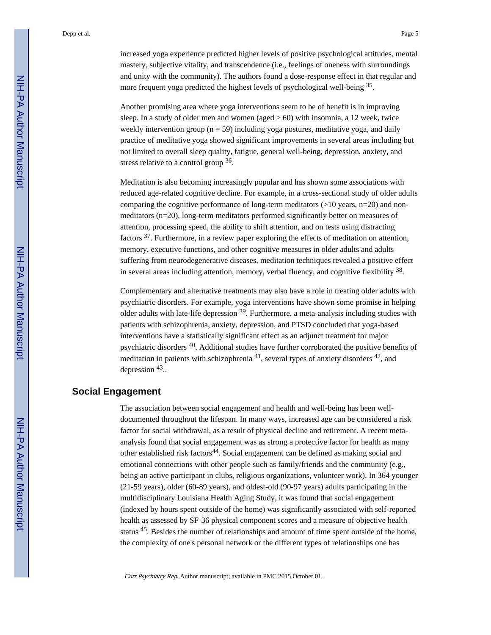increased yoga experience predicted higher levels of positive psychological attitudes, mental mastery, subjective vitality, and transcendence (i.e., feelings of oneness with surroundings and unity with the community). The authors found a dose-response effect in that regular and more frequent yoga predicted the highest levels of psychological well-being 35.

Another promising area where yoga interventions seem to be of benefit is in improving sleep. In a study of older men and women (aged  $\,$  60) with insomnia, a 12 week, twice weekly intervention group ( $n = 59$ ) including yoga postures, meditative yoga, and daily practice of meditative yoga showed significant improvements in several areas including but not limited to overall sleep quality, fatigue, general well-being, depression, anxiety, and stress relative to a control group 36.

Meditation is also becoming increasingly popular and has shown some associations with reduced age-related cognitive decline. For example, in a cross-sectional study of older adults comparing the cognitive performance of long-term meditators (>10 years, n=20) and nonmeditators (n=20), long-term meditators performed significantly better on measures of attention, processing speed, the ability to shift attention, and on tests using distracting factors 37. Furthermore, in a review paper exploring the effects of meditation on attention, memory, executive functions, and other cognitive measures in older adults and adults suffering from neurodegenerative diseases, meditation techniques revealed a positive effect in several areas including attention, memory, verbal fluency, and cognitive flexibility <sup>38</sup>.

Complementary and alternative treatments may also have a role in treating older adults with psychiatric disorders. For example, yoga interventions have shown some promise in helping older adults with late-life depression 39. Furthermore, a meta-analysis including studies with patients with schizophrenia, anxiety, depression, and PTSD concluded that yoga-based interventions have a statistically significant effect as an adjunct treatment for major psychiatric disorders 40. Additional studies have further corroborated the positive benefits of meditation in patients with schizophrenia  $^{41}$ , several types of anxiety disorders  $^{42}$ , and depression 43.

#### **Social Engagement**

The association between social engagement and health and well-being has been welldocumented throughout the lifespan. In many ways, increased age can be considered a risk factor for social withdrawal, as a result of physical decline and retirement. A recent metaanalysis found that social engagement was as strong a protective factor for health as many other established risk factors<sup>44</sup>. Social engagement can be defined as making social and emotional connections with other people such as family/friends and the community (e.g., being an active participant in clubs, religious organizations, volunteer work). In 364 younger (21-59 years), older (60-89 years), and oldest-old (90-97 years) adults participating in the multidisciplinary Louisiana Health Aging Study, it was found that social engagement (indexed by hours spent outside of the home) was significantly associated with self-reported health as assessed by SF-36 physical component scores and a measure of objective health status 45. Besides the number of relationships and amount of time spent outside of the home, the complexity of one's personal network or the different types of relationships one has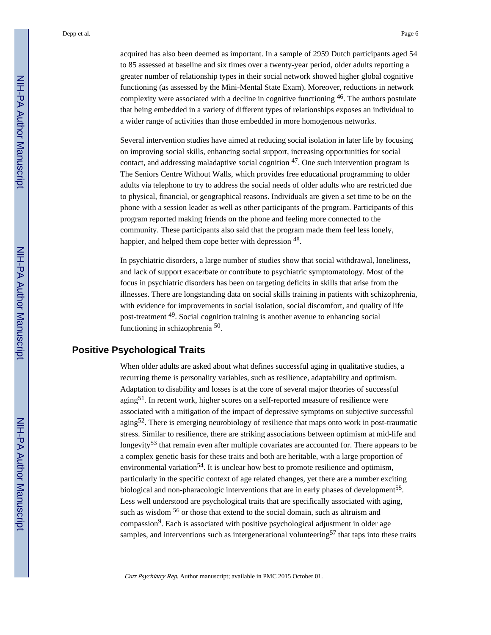acquired has also been deemed as important. In a sample of 2959 Dutch participants aged 54 to 85 assessed at baseline and six times over a twenty-year period, older adults reporting a greater number of relationship types in their social network showed higher global cognitive functioning (as assessed by the Mini-Mental State Exam). Moreover, reductions in network complexity were associated with a decline in cognitive functioning 46. The authors postulate that being embedded in a variety of different types of relationships exposes an individual to a wider range of activities than those embedded in more homogenous networks.

Several intervention studies have aimed at reducing social isolation in later life by focusing on improving social skills, enhancing social support, increasing opportunities for social contact, and addressing maladaptive social cognition  $47$ . One such intervention program is The Seniors Centre Without Walls, which provides free educational programming to older adults via telephone to try to address the social needs of older adults who are restricted due to physical, financial, or geographical reasons. Individuals are given a set time to be on the phone with a session leader as well as other participants of the program. Participants of this program reported making friends on the phone and feeling more connected to the community. These participants also said that the program made them feel less lonely, happier, and helped them cope better with depression <sup>48</sup>.

In psychiatric disorders, a large number of studies show that social withdrawal, loneliness, and lack of support exacerbate or contribute to psychiatric symptomatology. Most of the focus in psychiatric disorders has been on targeting deficits in skills that arise from the illnesses. There are longstanding data on social skills training in patients with schizophrenia, with evidence for improvements in social isolation, social discomfort, and quality of life post-treatment 49. Social cognition training is another avenue to enhancing social functioning in schizophrenia<sup>50</sup>.

# **Positive Psychological Traits**

When older adults are asked about what defines successful aging in qualitative studies, a recurring theme is personality variables, such as resilience, adaptability and optimism. Adaptation to disability and losses is at the core of several major theories of successful aging51. In recent work, higher scores on a self-reported measure of resilience were associated with a mitigation of the impact of depressive symptoms on subjective successful aging<sup>52</sup>. There is emerging neurobiology of resilience that maps onto work in post-traumatic stress. Similar to resilience, there are striking associations between optimism at mid-life and longevity<sup>53</sup> that remain even after multiple covariates are accounted for. There appears to be a complex genetic basis for these traits and both are heritable, with a large proportion of environmental variation<sup>54</sup>. It is unclear how best to promote resilience and optimism, particularly in the specific context of age related changes, yet there are a number exciting biological and non-pharacologic interventions that are in early phases of development<sup>55</sup>. Less well understood are psychological traits that are specifically associated with aging, such as wisdom <sup>56</sup> or those that extend to the social domain, such as altruism and compassion<sup>9</sup>. Each is associated with positive psychological adjustment in older age samples, and interventions such as intergenerational volunteering<sup>57</sup> that taps into these traits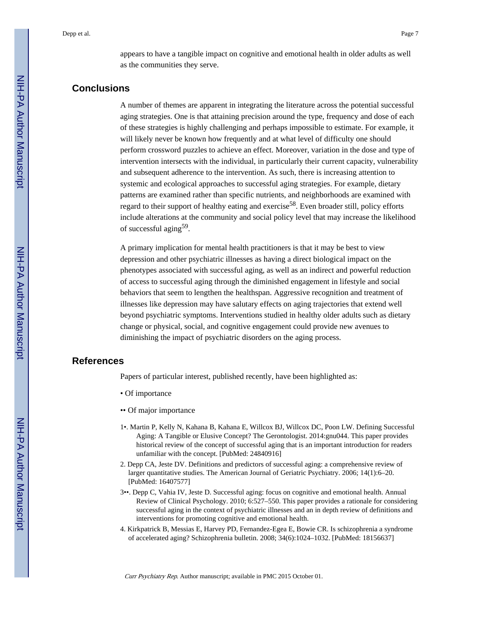appears to have a tangible impact on cognitive and emotional health in older adults as well as the communities they serve.

# **Conclusions**

A number of themes are apparent in integrating the literature across the potential successful aging strategies. One is that attaining precision around the type, frequency and dose of each of these strategies is highly challenging and perhaps impossible to estimate. For example, it will likely never be known how frequently and at what level of difficulty one should perform crossword puzzles to achieve an effect. Moreover, variation in the dose and type of intervention intersects with the individual, in particularly their current capacity, vulnerability and subsequent adherence to the intervention. As such, there is increasing attention to systemic and ecological approaches to successful aging strategies. For example, dietary patterns are examined rather than specific nutrients, and neighborhoods are examined with regard to their support of healthy eating and exercise<sup>58</sup>. Even broader still, policy efforts include alterations at the community and social policy level that may increase the likelihood of successful aging<sup>59</sup>.

A primary implication for mental health practitioners is that it may be best to view depression and other psychiatric illnesses as having a direct biological impact on the phenotypes associated with successful aging, as well as an indirect and powerful reduction of access to successful aging through the diminished engagement in lifestyle and social behaviors that seem to lengthen the healthspan. Aggressive recognition and treatment of illnesses like depression may have salutary effects on aging trajectories that extend well beyond psychiatric symptoms. Interventions studied in healthy older adults such as dietary change or physical, social, and cognitive engagement could provide new avenues to diminishing the impact of psychiatric disorders on the aging process.

#### **References**

Papers of particular interest, published recently, have been highlighted as:

- Of importance
- •• Of major importance
- 1•. Martin P, Kelly N, Kahana B, Kahana E, Willcox BJ, Willcox DC, Poon LW. Defining Successful Aging: A Tangible or Elusive Concept? The Gerontologist. 2014:gnu044. This paper provides historical review of the concept of successful aging that is an important introduction for readers unfamiliar with the concept. [PubMed: 24840916]
- 2. Depp CA, Jeste DV. Definitions and predictors of successful aging: a comprehensive review of larger quantitative studies. The American Journal of Geriatric Psychiatry. 2006; 14(1):6–20. [PubMed: 16407577]
- 3••. Depp C, Vahia IV, Jeste D. Successful aging: focus on cognitive and emotional health. Annual Review of Clinical Psychology. 2010; 6:527–550. This paper provides a rationale for considering successful aging in the context of psychiatric illnesses and an in depth review of definitions and interventions for promoting cognitive and emotional health.
- 4. Kirkpatrick B, Messias E, Harvey PD, Fernandez-Egea E, Bowie CR. Is schizophrenia a syndrome of accelerated aging? Schizophrenia bulletin. 2008; 34(6):1024–1032. [PubMed: 18156637]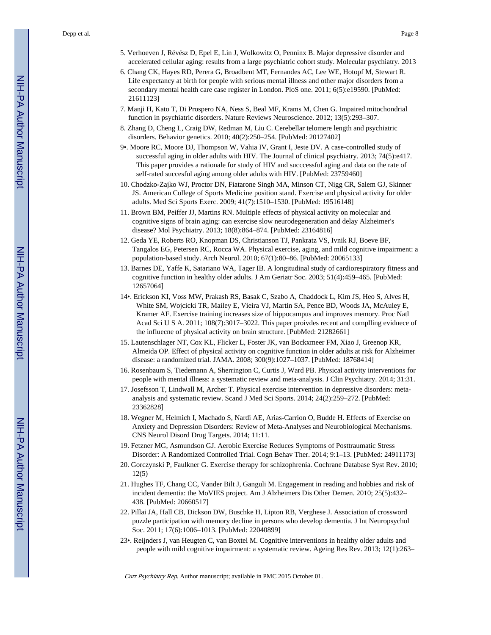- 5. Verhoeven J, Révész D, Epel E, Lin J, Wolkowitz O, Penninx B. Major depressive disorder and accelerated cellular aging: results from a large psychiatric cohort study. Molecular psychiatry. 2013
- 6. Chang CK, Hayes RD, Perera G, Broadbent MT, Fernandes AC, Lee WE, Hotopf M, Stewart R. Life expectancy at birth for people with serious mental illness and other major disorders from a secondary mental health care case register in London. PloS one. 2011; 6(5):e19590. [PubMed: 21611123]
- 7. Manji H, Kato T, Di Prospero NA, Ness S, Beal MF, Krams M, Chen G. Impaired mitochondrial function in psychiatric disorders. Nature Reviews Neuroscience. 2012; 13(5):293–307.
- 8. Zhang D, Cheng L, Craig DW, Redman M, Liu C. Cerebellar telomere length and psychiatric disorders. Behavior genetics. 2010; 40(2):250–254. [PubMed: 20127402]
- 9•. Moore RC, Moore DJ, Thompson W, Vahia IV, Grant I, Jeste DV. A case-controlled study of successful aging in older adults with HIV. The Journal of clinical psychiatry. 2013; 74(5):e417. This paper provides a rationale for study of HIV and succcessful aging and data on the rate of self-rated succesful aging among older adults with HIV. [PubMed: 23759460]
- 10. Chodzko-Zajko WJ, Proctor DN, Fiatarone Singh MA, Minson CT, Nigg CR, Salem GJ, Skinner JS. American College of Sports Medicine position stand. Exercise and physical activity for older adults. Med Sci Sports Exerc. 2009; 41(7):1510–1530. [PubMed: 19516148]
- 11. Brown BM, Peiffer JJ, Martins RN. Multiple effects of physical activity on molecular and cognitive signs of brain aging: can exercise slow neurodegeneration and delay Alzheimer's disease? Mol Psychiatry. 2013; 18(8):864–874. [PubMed: 23164816]
- 12. Geda YE, Roberts RO, Knopman DS, Christianson TJ, Pankratz VS, Ivnik RJ, Boeve BF, Tangalos EG, Petersen RC, Rocca WA. Physical exercise, aging, and mild cognitive impairment: a population-based study. Arch Neurol. 2010; 67(1):80–86. [PubMed: 20065133]
- 13. Barnes DE, Yaffe K, Satariano WA, Tager IB. A longitudinal study of cardiorespiratory fitness and cognitive function in healthy older adults. J Am Geriatr Soc. 2003; 51(4):459–465. [PubMed: 12657064]
- 14•. Erickson KI, Voss MW, Prakash RS, Basak C, Szabo A, Chaddock L, Kim JS, Heo S, Alves H, White SM, Wojcicki TR, Mailey E, Vieira VJ, Martin SA, Pence BD, Woods JA, McAuley E, Kramer AF. Exercise training increases size of hippocampus and improves memory. Proc Natl Acad Sci U S A. 2011; 108(7):3017–3022. This paper proivdes recent and complling evidnece of the influecne of physical activity on brain structure. [PubMed: 21282661]
- 15. Lautenschlager NT, Cox KL, Flicker L, Foster JK, van Bockxmeer FM, Xiao J, Greenop KR, Almeida OP. Effect of physical activity on cognitive function in older adults at risk for Alzheimer disease: a randomized trial. JAMA. 2008; 300(9):1027–1037. [PubMed: 18768414]
- 16. Rosenbaum S, Tiedemann A, Sherrington C, Curtis J, Ward PB. Physical activity interventions for people with mental illness: a systematic review and meta-analysis. J Clin Psychiatry. 2014; 31:31.
- 17. Josefsson T, Lindwall M, Archer T. Physical exercise intervention in depressive disorders: metaanalysis and systematic review. Scand J Med Sci Sports. 2014; 24(2):259–272. [PubMed: 23362828]
- 18. Wegner M, Helmich I, Machado S, Nardi AE, Arias-Carrion O, Budde H. Effects of Exercise on Anxiety and Depression Disorders: Review of Meta-Analyses and Neurobiological Mechanisms. CNS Neurol Disord Drug Targets. 2014; 11:11.
- 19. Fetzner MG, Asmundson GJ. Aerobic Exercise Reduces Symptoms of Posttraumatic Stress Disorder: A Randomized Controlled Trial. Cogn Behav Ther. 2014; 9:1–13. [PubMed: 24911173]
- 20. Gorczynski P, Faulkner G. Exercise therapy for schizophrenia. Cochrane Database Syst Rev. 2010; 12(5)
- 21. Hughes TF, Chang CC, Vander Bilt J, Ganguli M. Engagement in reading and hobbies and risk of incident dementia: the MoVIES project. Am J Alzheimers Dis Other Demen. 2010; 25(5):432– 438. [PubMed: 20660517]
- 22. Pillai JA, Hall CB, Dickson DW, Buschke H, Lipton RB, Verghese J. Association of crossword puzzle participation with memory decline in persons who develop dementia. J Int Neuropsychol Soc. 2011; 17(6):1006–1013. [PubMed: 22040899]
- 23•. Reijnders J, van Heugten C, van Boxtel M. Cognitive interventions in healthy older adults and people with mild cognitive impairment: a systematic review. Ageing Res Rev. 2013; 12(1):263–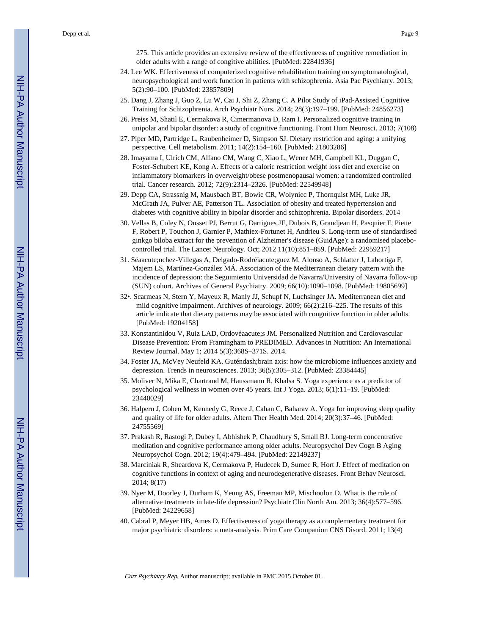275. This article provides an extensive review of the effectivneess of cognitive remediation in older adults with a range of congitive abilities. [PubMed: 22841936]

- 24. Lee WK. Effectiveness of computerized cognitive rehabilitation training on symptomatological, neuropsychological and work function in patients with schizophrenia. Asia Pac Psychiatry. 2013; 5(2):90–100. [PubMed: 23857809]
- 25. Dang J, Zhang J, Guo Z, Lu W, Cai J, Shi Z, Zhang C. A Pilot Study of iPad-Assisted Cognitive Training for Schizophrenia. Arch Psychiatr Nurs. 2014; 28(3):197–199. [PubMed: 24856273]
- 26. Preiss M, Shatil E, Cermakova R, Cimermanova D, Ram I. Personalized cognitive training in unipolar and bipolar disorder: a study of cognitive functioning. Front Hum Neurosci. 2013; 7(108)
- 27. Piper MD, Partridge L, Raubenheimer D, Simpson SJ. Dietary restriction and aging: a unifying perspective. Cell metabolism. 2011; 14(2):154–160. [PubMed: 21803286]
- 28. Imayama I, Ulrich CM, Alfano CM, Wang C, Xiao L, Wener MH, Campbell KL, Duggan C, Foster-Schubert KE, Kong A. Effects of a caloric restriction weight loss diet and exercise on inflammatory biomarkers in overweight/obese postmenopausal women: a randomized controlled trial. Cancer research. 2012; 72(9):2314–2326. [PubMed: 22549948]
- 29. Depp CA, Strassnig M, Mausbach BT, Bowie CR, Wolyniec P, Thornquist MH, Luke JR, McGrath JA, Pulver AE, Patterson TL. Association of obesity and treated hypertension and diabetes with cognitive ability in bipolar disorder and schizophrenia. Bipolar disorders. 2014
- 30. Vellas B, Coley N, Ousset PJ, Berrut G, Dartigues JF, Dubois B, Grandjean H, Pasquier F, Piette F, Robert P, Touchon J, Garnier P, Mathiex-Fortunet H, Andrieu S. Long-term use of standardised ginkgo biloba extract for the prevention of Alzheimer's disease (GuidAge): a randomised placebocontrolled trial. The Lancet Neurology. Oct; 2012 11(10):851–859. [PubMed: 22959217]
- 31. Séaacute;nchez-Villegas A, Delgado-Rodréiacute;guez M, Alonso A, Schlatter J, Lahortiga F, Majem LS, Martínez-González MÁ. Association of the Mediterranean dietary pattern with the incidence of depression: the Seguimiento Universidad de Navarra/University of Navarra follow-up (SUN) cohort. Archives of General Psychiatry. 2009; 66(10):1090–1098. [PubMed: 19805699]
- 32•. Scarmeas N, Stern Y, Mayeux R, Manly JJ, Schupf N, Luchsinger JA. Mediterranean diet and mild cognitive impairment. Archives of neurology. 2009; 66(2):216–225. The results of this article indicate that dietary patterns may be associated with congnitive function in older adults. [PubMed: 19204158]
- 33. Konstantinidou V, Ruiz LAD, Ordovéaacute;s JM. Personalized Nutrition and Cardiovascular Disease Prevention: From Framingham to PREDIMED. Advances in Nutrition: An International Review Journal. May 1; 2014 5(3):368S–371S. 2014.
- 34. Foster JA, McVey Neufeld KA. Guténdash;brain axis: how the microbiome influences anxiety and depression. Trends in neurosciences. 2013; 36(5):305–312. [PubMed: 23384445]
- 35. Moliver N, Mika E, Chartrand M, Haussmann R, Khalsa S. Yoga experience as a predictor of psychological wellness in women over 45 years. Int J Yoga. 2013; 6(1):11–19. [PubMed: 23440029]
- 36. Halpern J, Cohen M, Kennedy G, Reece J, Cahan C, Baharav A. Yoga for improving sleep quality and quality of life for older adults. Altern Ther Health Med. 2014; 20(3):37–46. [PubMed: 24755569]
- 37. Prakash R, Rastogi P, Dubey I, Abhishek P, Chaudhury S, Small BJ. Long-term concentrative meditation and cognitive performance among older adults. Neuropsychol Dev Cogn B Aging Neuropsychol Cogn. 2012; 19(4):479–494. [PubMed: 22149237]
- 38. Marciniak R, Sheardova K, Cermakova P, Hudecek D, Sumec R, Hort J. Effect of meditation on cognitive functions in context of aging and neurodegenerative diseases. Front Behav Neurosci. 2014; 8(17)
- 39. Nyer M, Doorley J, Durham K, Yeung AS, Freeman MP, Mischoulon D. What is the role of alternative treatments in late-life depression? Psychiatr Clin North Am. 2013; 36(4):577–596. [PubMed: 24229658]
- 40. Cabral P, Meyer HB, Ames D. Effectiveness of yoga therapy as a complementary treatment for major psychiatric disorders: a meta-analysis. Prim Care Companion CNS Disord. 2011; 13(4)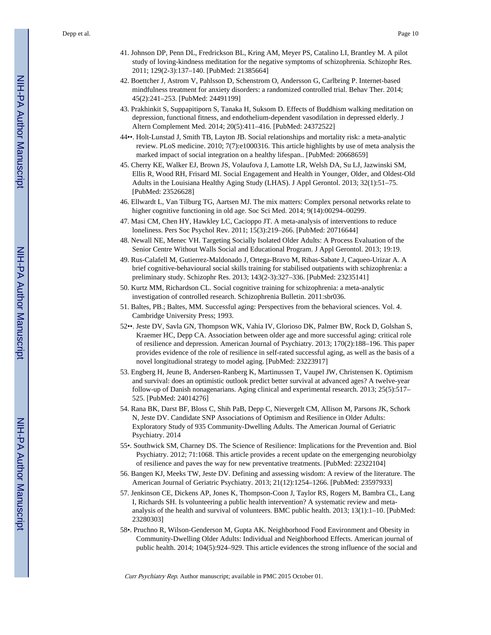- 41. Johnson DP, Penn DL, Fredrickson BL, Kring AM, Meyer PS, Catalino LI, Brantley M. A pilot study of loving-kindness meditation for the negative symptoms of schizophrenia. Schizophr Res. 2011; 129(2-3):137–140. [PubMed: 21385664]
- 42. Boettcher J, Astrom V, Pahlsson D, Schenstrom O, Andersson G, Carlbring P. Internet-based mindfulness treatment for anxiety disorders: a randomized controlled trial. Behav Ther. 2014; 45(2):241–253. [PubMed: 24491199]
- 43. Prakhinkit S, Suppapitiporn S, Tanaka H, Suksom D. Effects of Buddhism walking meditation on depression, functional fitness, and endothelium-dependent vasodilation in depressed elderly. J Altern Complement Med. 2014; 20(5):411–416. [PubMed: 24372522]
- 44••. Holt-Lunstad J, Smith TB, Layton JB. Social relationships and mortality risk: a meta-analytic review. PLoS medicine. 2010; 7(7):e1000316. This article highlights by use of meta analysis the marked impact of social integration on a healthy lifespan.. [PubMed: 20668659]
- 45. Cherry KE, Walker EJ, Brown JS, Volaufova J, Lamotte LR, Welsh DA, Su LJ, Jazwinski SM, Ellis R, Wood RH, Frisard MI. Social Engagement and Health in Younger, Older, and Oldest-Old Adults in the Louisiana Healthy Aging Study (LHAS). J Appl Gerontol. 2013; 32(1):51–75. [PubMed: 23526628]
- 46. Ellwardt L, Van Tilburg TG, Aartsen MJ. The mix matters: Complex personal networks relate to higher cognitive functioning in old age. Soc Sci Med. 2014; 9(14):00294–00299.
- 47. Masi CM, Chen HY, Hawkley LC, Cacioppo JT. A meta-analysis of interventions to reduce loneliness. Pers Soc Psychol Rev. 2011; 15(3):219–266. [PubMed: 20716644]
- 48. Newall NE, Menec VH. Targeting Socially Isolated Older Adults: A Process Evaluation of the Senior Centre Without Walls Social and Educational Program. J Appl Gerontol. 2013; 19:19.
- 49. Rus-Calafell M, Gutierrez-Maldonado J, Ortega-Bravo M, Ribas-Sabate J, Caqueo-Urizar A. A brief cognitive-behavioural social skills training for stabilised outpatients with schizophrenia: a preliminary study. Schizophr Res. 2013; 143(2-3):327–336. [PubMed: 23235141]
- 50. Kurtz MM, Richardson CL. Social cognitive training for schizophrenia: a meta-analytic investigation of controlled research. Schizophrenia Bulletin. 2011:sbr036.
- 51. Baltes, PB.; Baltes, MM. Successful aging: Perspectives from the behavioral sciences. Vol. 4. Cambridge University Press; 1993.
- 52••. Jeste DV, Savla GN, Thompson WK, Vahia IV, Glorioso DK, Palmer BW, Rock D, Golshan S, Kraemer HC, Depp CA. Association between older age and more successful aging: critical role of resilience and depression. American Journal of Psychiatry. 2013; 170(2):188–196. This paper provides evidence of the role of resilience in self-rated successful aging, as well as the basis of a novel longitudional strategy to model aging. [PubMed: 23223917]
- 53. Engberg H, Jeune B, Andersen-Ranberg K, Martinussen T, Vaupel JW, Christensen K. Optimism and survival: does an optimistic outlook predict better survival at advanced ages? A twelve-year follow-up of Danish nonagenarians. Aging clinical and experimental research. 2013; 25(5):517– 525. [PubMed: 24014276]
- 54. Rana BK, Darst BF, Bloss C, Shih PaB, Depp C, Nievergelt CM, Allison M, Parsons JK, Schork N, Jeste DV. Candidate SNP Associations of Optimism and Resilience in Older Adults: Exploratory Study of 935 Community-Dwelling Adults. The American Journal of Geriatric Psychiatry. 2014
- 55•. Southwick SM, Charney DS. The Science of Resilience: Implications for the Prevention and. Biol Psychiatry. 2012; 71:1068. This article provides a recent update on the emergenging neurobiolgy of resilience and paves the way for new preventative treatments. [PubMed: 22322104]
- 56. Bangen KJ, Meeks TW, Jeste DV. Defining and assessing wisdom: A review of the literature. The American Journal of Geriatric Psychiatry. 2013; 21(12):1254–1266. [PubMed: 23597933]
- 57. Jenkinson CE, Dickens AP, Jones K, Thompson-Coon J, Taylor RS, Rogers M, Bambra CL, Lang I, Richards SH. Is volunteering a public health intervention? A systematic review and metaanalysis of the health and survival of volunteers. BMC public health. 2013; 13(1):1–10. [PubMed: 23280303]
- 58•. Pruchno R, Wilson-Genderson M, Gupta AK. Neighborhood Food Environment and Obesity in Community-Dwelling Older Adults: Individual and Neighborhood Effects. American journal of public health. 2014; 104(5):924–929. This article evidences the strong influence of the social and